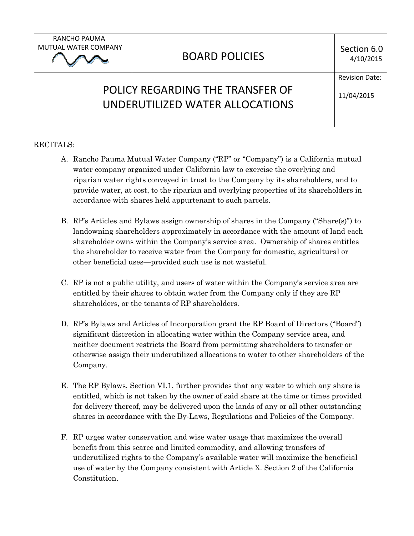RANCHO PAUMA MUTUAL WATER COMPANY

## BOARD POLICIES

Section 6.0

## POLICY REGARDING THE TRANSFER OF UNDERUTILIZED WATER ALLOCATIONS

11/04/2015

Revision Date:

## RECITALS:

- A. Rancho Pauma Mutual Water Company ("RP" or "Company") is a California mutual water company organized under California law to exercise the overlying and riparian water rights conveyed in trust to the Company by its shareholders, and to provide water, at cost, to the riparian and overlying properties of its shareholders in accordance with shares held appurtenant to such parcels.
- B. RP's Articles and Bylaws assign ownership of shares in the Company ("Share(s)") to landowning shareholders approximately in accordance with the amount of land each shareholder owns within the Company's service area. Ownership of shares entitles the shareholder to receive water from the Company for domestic, agricultural or other beneficial uses—provided such use is not wasteful.
- C. RP is not a public utility, and users of water within the Company's service area are entitled by their shares to obtain water from the Company only if they are RP shareholders, or the tenants of RP shareholders.
- D. RP's Bylaws and Articles of Incorporation grant the RP Board of Directors ("Board") significant discretion in allocating water within the Company service area, and neither document restricts the Board from permitting shareholders to transfer or otherwise assign their underutilized allocations to water to other shareholders of the Company.
- E. The RP Bylaws, Section VI.1, further provides that any water to which any share is entitled, which is not taken by the owner of said share at the time or times provided for delivery thereof, may be delivered upon the lands of any or all other outstanding shares in accordance with the By-Laws, Regulations and Policies of the Company.
- F. RP urges water conservation and wise water usage that maximizes the overall benefit from this scarce and limited commodity, and allowing transfers of underutilized rights to the Company's available water will maximize the beneficial use of water by the Company consistent with Article X. Section 2 of the California Constitution.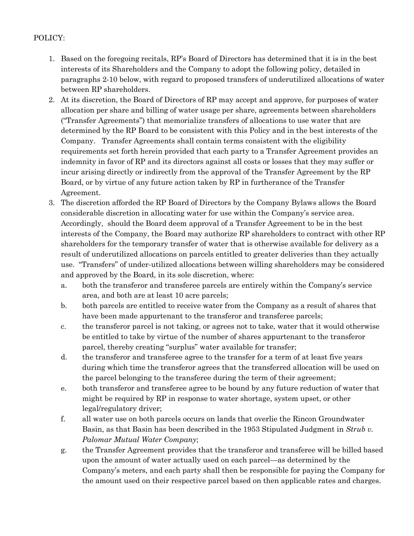## POLICY:

- 1. Based on the foregoing recitals, RP's Board of Directors has determined that it is in the best interests of its Shareholders and the Company to adopt the following policy, detailed in paragraphs 2-10 below, with regard to proposed transfers of underutilized allocations of water between RP shareholders.
- 2. At its discretion, the Board of Directors of RP may accept and approve, for purposes of water allocation per share and billing of water usage per share, agreements between shareholders ("Transfer Agreements") that memorialize transfers of allocations to use water that are determined by the RP Board to be consistent with this Policy and in the best interests of the Company. Transfer Agreements shall contain terms consistent with the eligibility requirements set forth herein provided that each party to a Transfer Agreement provides an indemnity in favor of RP and its directors against all costs or losses that they may suffer or incur arising directly or indirectly from the approval of the Transfer Agreement by the RP Board, or by virtue of any future action taken by RP in furtherance of the Transfer Agreement.
- 3. The discretion afforded the RP Board of Directors by the Company Bylaws allows the Board considerable discretion in allocating water for use within the Company's service area. Accordingly, should the Board deem approval of a Transfer Agreement to be in the best interests of the Company, the Board may authorize RP shareholders to contract with other RP shareholders for the temporary transfer of water that is otherwise available for delivery as a result of underutilized allocations on parcels entitled to greater deliveries than they actually use. "Transfers" of under-utilized allocations between willing shareholders may be considered and approved by the Board, in its sole discretion, where:
	- a. both the transferor and transferee parcels are entirely within the Company's service area, and both are at least 10 acre parcels;
	- b. both parcels are entitled to receive water from the Company as a result of shares that have been made appurtenant to the transferor and transferee parcels;
	- c. the transferor parcel is not taking, or agrees not to take, water that it would otherwise be entitled to take by virtue of the number of shares appurtenant to the transferor parcel, thereby creating "surplus" water available for transfer;
	- d. the transferor and transferee agree to the transfer for a term of at least five years during which time the transferor agrees that the transferred allocation will be used on the parcel belonging to the transferee during the term of their agreement;
	- e. both transferor and transferee agree to be bound by any future reduction of water that might be required by RP in response to water shortage, system upset, or other legal/regulatory driver;
	- f. all water use on both parcels occurs on lands that overlie the Rincon Groundwater Basin, as that Basin has been described in the 1953 Stipulated Judgment in *Strub v. Palomar Mutual Water Company*;
	- g. the Transfer Agreement provides that the transferor and transferee will be billed based upon the amount of water actually used on each parcel—as determined by the Company's meters, and each party shall then be responsible for paying the Company for the amount used on their respective parcel based on then applicable rates and charges.